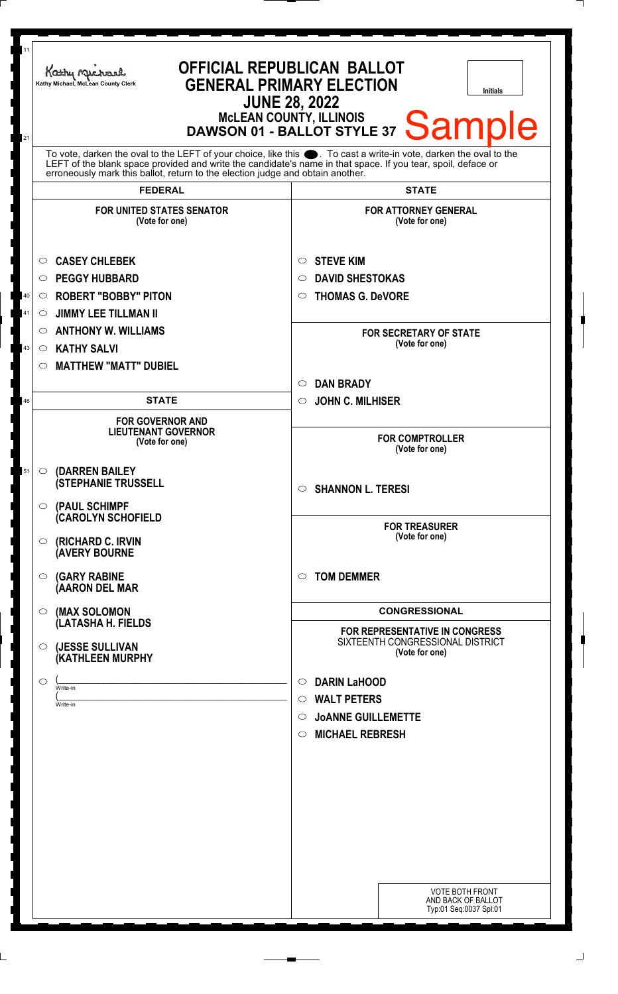| 11 | <b>OFFICIAL REPUBLICAN BALLOT</b><br>Kathy Michael<br><b>GENERAL PRIMARY ELECTION</b><br>Kathy Michael, McLean County Clerk<br><b>Initials</b><br><b>JUNE 28, 2022</b>                                                                                                                                          |                                                                                             |
|----|-----------------------------------------------------------------------------------------------------------------------------------------------------------------------------------------------------------------------------------------------------------------------------------------------------------------|---------------------------------------------------------------------------------------------|
| 21 | McLEAN COUNTY, ILLINOIS<br>DAWSON 01 - BALLOT STYLE 37<br><b>Sample</b><br>To vote, darken the oval to the LEFT of your choice, like this $\bullet$ . To cast a write-in vote, darken the oval to the LEFT of the blank space provided and write the candidate's name in that space. If you tear, spoil, deface |                                                                                             |
|    | erroneously mark this ballot, return to the election judge and obtain another.                                                                                                                                                                                                                                  |                                                                                             |
|    | <b>FEDERAL</b>                                                                                                                                                                                                                                                                                                  | <b>STATE</b>                                                                                |
|    | <b>FOR UNITED STATES SENATOR</b><br>(Vote for one)                                                                                                                                                                                                                                                              | <b>FOR ATTORNEY GENERAL</b><br>(Vote for one)                                               |
|    | <b>CASEY CHLEBEK</b><br>$\circ$                                                                                                                                                                                                                                                                                 | <b>STEVE KIM</b><br>$\circ$                                                                 |
|    | <b>PEGGY HUBBARD</b><br>$\circ$                                                                                                                                                                                                                                                                                 | <b>DAVID SHESTOKAS</b><br>◯                                                                 |
| 40 | <b>ROBERT "BOBBY" PITON</b><br>$\circ$                                                                                                                                                                                                                                                                          | <b>THOMAS G. DeVORE</b><br>$\circ$                                                          |
| 41 | <b>JIMMY LEE TILLMAN II</b><br>$\circlearrowright$                                                                                                                                                                                                                                                              |                                                                                             |
|    | <b>ANTHONY W. WILLIAMS</b><br>$\circ$                                                                                                                                                                                                                                                                           | <b>FOR SECRETARY OF STATE</b>                                                               |
| 43 | <b>KATHY SALVI</b><br>$\circ$                                                                                                                                                                                                                                                                                   | (Vote for one)                                                                              |
|    | <b>MATTHEW "MATT" DUBIEL</b><br>$\circ$                                                                                                                                                                                                                                                                         |                                                                                             |
|    |                                                                                                                                                                                                                                                                                                                 | <b>DAN BRADY</b><br>$\circ$                                                                 |
| 46 | <b>STATE</b>                                                                                                                                                                                                                                                                                                    | <b>JOHN C. MILHISER</b><br>$\circ$                                                          |
|    | <b>FOR GOVERNOR AND</b><br><b>LIEUTENANT GOVERNOR</b><br>(Vote for one)                                                                                                                                                                                                                                         | <b>FOR COMPTROLLER</b><br>(Vote for one)                                                    |
| 51 | (DARREN BAILEY<br>$\circ$<br><b>(STEPHANIE TRUSSELL</b>                                                                                                                                                                                                                                                         | <b>SHANNON L. TERESI</b><br>$\bigcirc$                                                      |
|    | (PAUL SCHIMPF<br>$\circ$<br><b>CAROLYN SCHOFIELD</b>                                                                                                                                                                                                                                                            |                                                                                             |
|    | (RICHARD C. IRVIN<br>$\circ$<br><b>AVERY BOURNE</b>                                                                                                                                                                                                                                                             | <b>FOR TREASURER</b><br>(Vote for one)                                                      |
|    | <b>(GARY RABINE</b><br>$\circ$<br>(AARON DEL MAR                                                                                                                                                                                                                                                                | <b>TOM DEMMER</b><br>$\circ$                                                                |
|    | (MAX SOLOMON<br>$\bigcirc$                                                                                                                                                                                                                                                                                      | <b>CONGRESSIONAL</b>                                                                        |
|    | (LATASHA H. FIELDS<br>(JESSE SULLIVAN<br>$\circ$<br><b>(KATHLEEN MURPHY</b>                                                                                                                                                                                                                                     | <b>FOR REPRESENTATIVE IN CONGRESS</b><br>SIXTEENTH CONGRESSIONAL DISTRICT<br>(Vote for one) |
|    | $\circ$                                                                                                                                                                                                                                                                                                         | <b>DARIN LaHOOD</b><br>$\circ$                                                              |
|    | Write-in<br>Write-in                                                                                                                                                                                                                                                                                            | <b>WALT PETERS</b><br>$\circ$                                                               |
|    |                                                                                                                                                                                                                                                                                                                 | <b>JOANNE GUILLEMETTE</b><br>$\bigcirc$                                                     |
|    |                                                                                                                                                                                                                                                                                                                 | <b>MICHAEL REBRESH</b><br>$\circ$                                                           |
|    |                                                                                                                                                                                                                                                                                                                 |                                                                                             |
|    |                                                                                                                                                                                                                                                                                                                 |                                                                                             |
|    |                                                                                                                                                                                                                                                                                                                 |                                                                                             |
|    |                                                                                                                                                                                                                                                                                                                 |                                                                                             |
|    |                                                                                                                                                                                                                                                                                                                 |                                                                                             |
|    |                                                                                                                                                                                                                                                                                                                 |                                                                                             |
|    |                                                                                                                                                                                                                                                                                                                 | <b>VOTE BOTH FRONT</b>                                                                      |
|    |                                                                                                                                                                                                                                                                                                                 | AND BACK OF BALLOT<br>Typ:01 Seq:0037 Spl:01                                                |
|    |                                                                                                                                                                                                                                                                                                                 |                                                                                             |